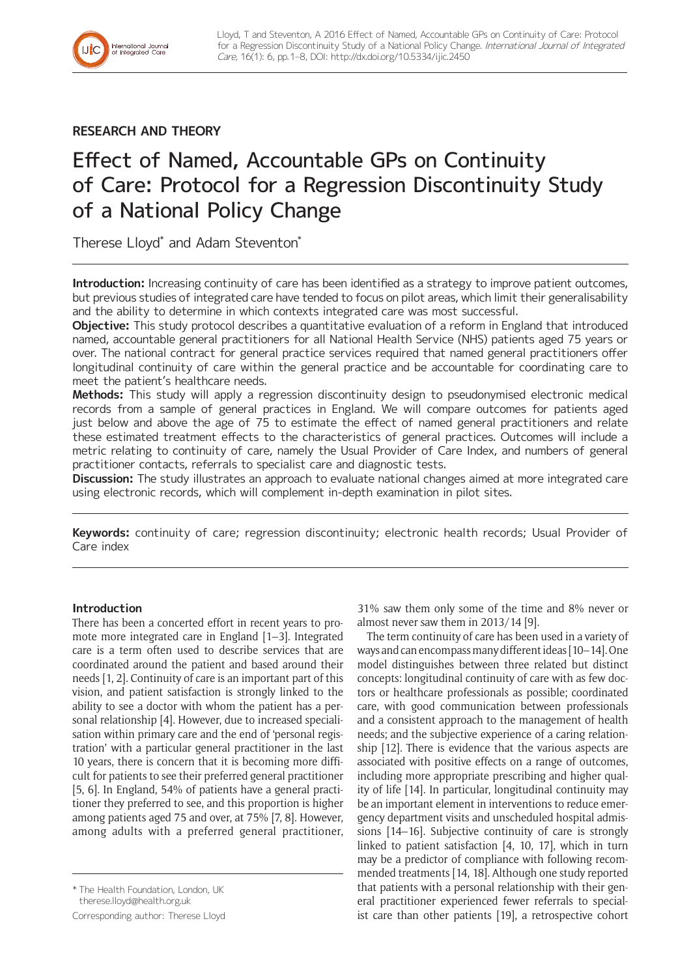**RESEARCH AND THEORY**

International Journal<br>of Integrated Care

# Effect of Named, Accountable GPs on Continuity of Care: Protocol for a Regression Discontinuity Study of a National Policy Change

Therese Lloyd\* and Adam Steventon\*

**Introduction:** Increasing continuity of care has been identified as a strategy to improve patient outcomes, but previous studies of integrated care have tended to focus on pilot areas, which limit their generalisability and the ability to determine in which contexts integrated care was most successful.

**Objective:** This study protocol describes a quantitative evaluation of a reform in England that introduced named, accountable general practitioners for all National Health Service (NHS) patients aged 75 years or over. The national contract for general practice services required that named general practitioners offer longitudinal continuity of care within the general practice and be accountable for coordinating care to meet the patient's healthcare needs.

**Methods:** This study will apply a regression discontinuity design to pseudonymised electronic medical records from a sample of general practices in England. We will compare outcomes for patients aged just below and above the age of 75 to estimate the effect of named general practitioners and relate these estimated treatment effects to the characteristics of general practices. Outcomes will include a metric relating to continuity of care, namely the Usual Provider of Care Index, and numbers of general practitioner contacts, referrals to specialist care and diagnostic tests.

**Discussion:** The study illustrates an approach to evaluate national changes aimed at more integrated care using electronic records, which will complement in-depth examination in pilot sites.

**Keywords:** continuity of care; regression discontinuity; electronic health records; Usual Provider of Care index

# **Introduction**

There has been a concerted effort in recent years to promote more integrated care in England [1–3]. Integrated care is a term often used to describe services that are coordinated around the patient and based around their needs [1, 2]. Continuity of care is an important part of this vision, and patient satisfaction is strongly linked to the ability to see a doctor with whom the patient has a personal relationship [4]. However, due to increased specialisation within primary care and the end of 'personal registration' with a particular general practitioner in the last 10 years, there is concern that it is becoming more difficult for patients to see their preferred general practitioner [5, 6]. In England, 54% of patients have a general practitioner they preferred to see, and this proportion is higher among patients aged 75 and over, at 75% [7, 8]. However, among adults with a preferred general practitioner,

Corresponding author: Therese Lloyd

31% saw them only some of the time and 8% never or almost never saw them in 2013/14 [9].

The term continuity of care has been used in a variety of ways and can encompass many different ideas [10–14]. One model distinguishes between three related but distinct concepts: longitudinal continuity of care with as few doctors or healthcare professionals as possible; coordinated care, with good communication between professionals and a consistent approach to the management of health needs; and the subjective experience of a caring relationship [12]. There is evidence that the various aspects are associated with positive effects on a range of outcomes, including more appropriate prescribing and higher quality of life [14]. In particular, longitudinal continuity may be an important element in interventions to reduce emergency department visits and unscheduled hospital admissions [14–16]. Subjective continuity of care is strongly linked to patient satisfaction [4, 10, 17], which in turn may be a predictor of compliance with following recommended treatments [14, 18]. Although one study reported that patients with a personal relationship with their general practitioner experienced fewer referrals to specialist care than other patients [19], a retrospective cohort

<sup>\*</sup> The Health Foundation, London, UK

[therese.lloyd@health.org.uk](mailto:therese.lloyd@health.org.uk)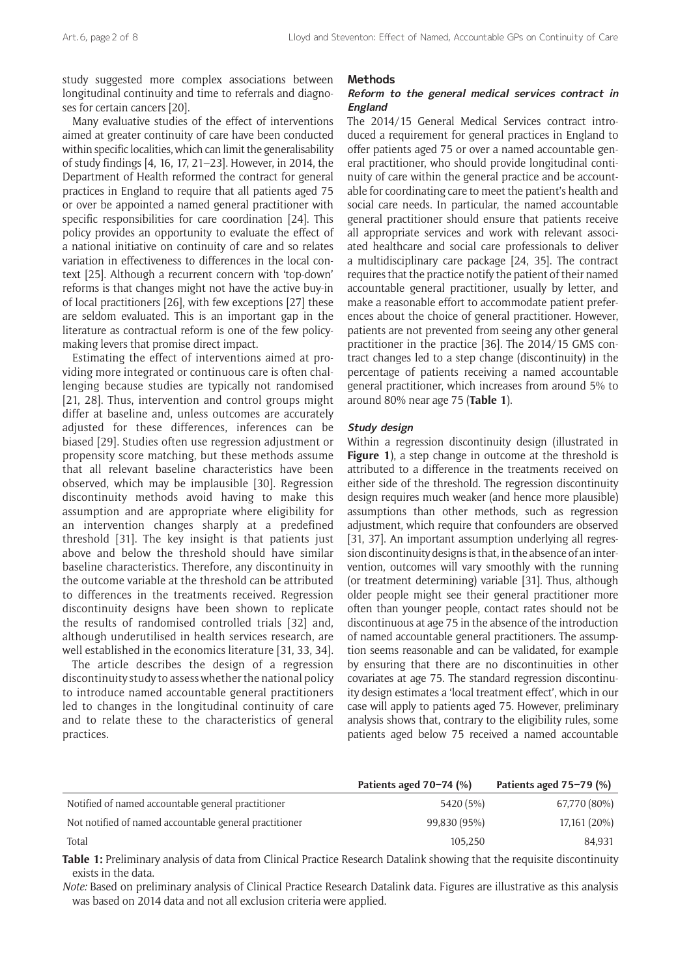study suggested more complex associations between longitudinal continuity and time to referrals and diagnoses for certain cancers [20].

Many evaluative studies of the effect of interventions aimed at greater continuity of care have been conducted within specific localities, which can limit the generalisability of study findings [4, 16, 17, 21–23]. However, in 2014, the Department of Health reformed the contract for general practices in England to require that all patients aged 75 or over be appointed a named general practitioner with specific responsibilities for care coordination [24]. This policy provides an opportunity to evaluate the effect of a national initiative on continuity of care and so relates variation in effectiveness to differences in the local context [25]. Although a recurrent concern with 'top-down' reforms is that changes might not have the active buy-in of local practitioners [26], with few exceptions [27] these are seldom evaluated. This is an important gap in the literature as contractual reform is one of the few policymaking levers that promise direct impact.

Estimating the effect of interventions aimed at providing more integrated or continuous care is often challenging because studies are typically not randomised [21, 28]. Thus, intervention and control groups might differ at baseline and, unless outcomes are accurately adjusted for these differences, inferences can be biased [29]. Studies often use regression adjustment or propensity score matching, but these methods assume that all relevant baseline characteristics have been observed, which may be implausible [30]. Regression discontinuity methods avoid having to make this assumption and are appropriate where eligibility for an intervention changes sharply at a predefined threshold [31]. The key insight is that patients just above and below the threshold should have similar baseline characteristics. Therefore, any discontinuity in the outcome variable at the threshold can be attributed to differences in the treatments received. Regression discontinuity designs have been shown to replicate the results of randomised controlled trials [32] and, although underutilised in health services research, are well established in the economics literature [31, 33, 34].

The article describes the design of a regression discontinuity study to assess whether the national policy to introduce named accountable general practitioners led to changes in the longitudinal continuity of care and to relate these to the characteristics of general practices.

#### **Methods**

## **Reform to the general medical services contract in England**

The 2014/15 General Medical Services contract introduced a requirement for general practices in England to offer patients aged 75 or over a named accountable general practitioner, who should provide longitudinal continuity of care within the general practice and be accountable for coordinating care to meet the patient's health and social care needs. In particular, the named accountable general practitioner should ensure that patients receive all appropriate services and work with relevant associated healthcare and social care professionals to deliver a multidisciplinary care package [24, 35]. The contract requires that the practice notify the patient of their named accountable general practitioner, usually by letter, and make a reasonable effort to accommodate patient preferences about the choice of general practitioner. However, patients are not prevented from seeing any other general practitioner in the practice [36]. The 2014/15 GMS contract changes led to a step change (discontinuity) in the percentage of patients receiving a named accountable general practitioner, which increases from around 5% to around 80% near age 75 (**Table 1**).

#### **Study design**

Within a regression discontinuity design (illustrated in **Figure 1**), a step change in outcome at the threshold is attributed to a difference in the treatments received on either side of the threshold. The regression discontinuity design requires much weaker (and hence more plausible) assumptions than other methods, such as regression adjustment, which require that confounders are observed [31, 37]. An important assumption underlying all regression discontinuity designs is that, in the absence of an intervention, outcomes will vary smoothly with the running (or treatment determining) variable [31]. Thus, although older people might see their general practitioner more often than younger people, contact rates should not be discontinuous at age 75 in the absence of the introduction of named accountable general practitioners. The assumption seems reasonable and can be validated, for example by ensuring that there are no discontinuities in other covariates at age 75. The standard regression discontinuity design estimates a 'local treatment effect', which in our case will apply to patients aged 75. However, preliminary analysis shows that, contrary to the eligibility rules, some patients aged below 75 received a named accountable

|                                                        | Patients aged $70-74$ (%) | Patients aged $75-79$ (%) |
|--------------------------------------------------------|---------------------------|---------------------------|
| Notified of named accountable general practitioner     | 5420 (5%)                 | 67,770 (80%)              |
| Not notified of named accountable general practitioner | 99,830 (95%)              | 17,161 (20%)              |
| Total                                                  | 105.250                   | 84.931                    |

**Table 1:** Preliminary analysis of data from Clinical Practice Research Datalink showing that the requisite discontinuity exists in the data.

*Note:* Based on preliminary analysis of Clinical Practice Research Datalink data. Figures are illustrative as this analysis was based on 2014 data and not all exclusion criteria were applied.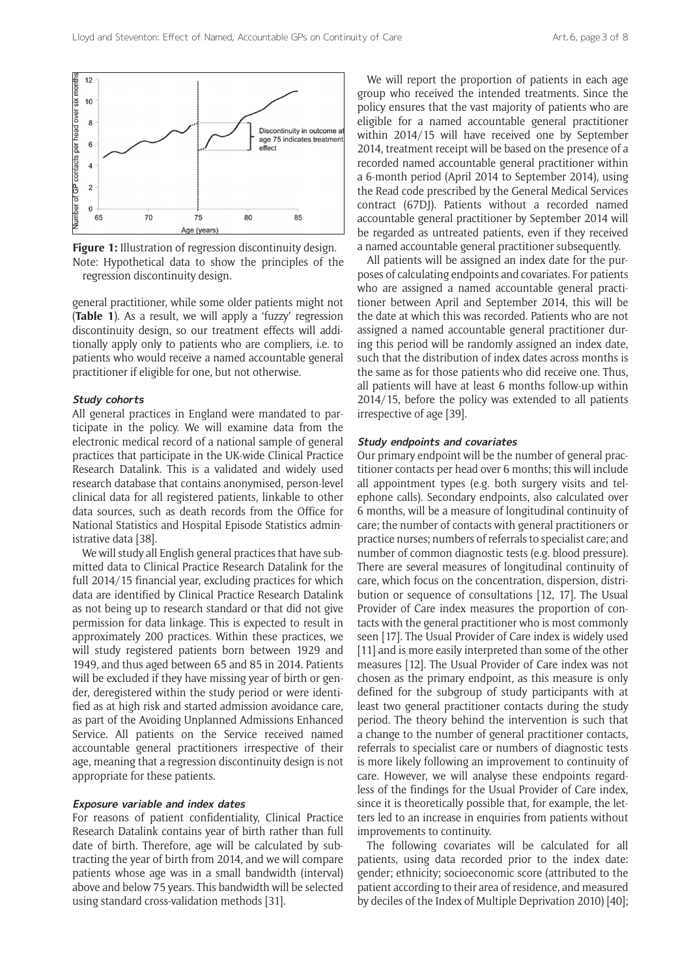

**Figure 1:** Illustration of regression discontinuity design. Note: Hypothetical data to show the principles of the regression discontinuity design.

general practitioner, while some older patients might not (**Table 1**). As a result, we will apply a 'fuzzy' regression discontinuity design, so our treatment effects will additionally apply only to patients who are compliers, i.e. to patients who would receive a named accountable general practitioner if eligible for one, but not otherwise.

#### **Study cohorts**

All general practices in England were mandated to participate in the policy. We will examine data from the electronic medical record of a national sample of general practices that participate in the UK-wide Clinical Practice Research Datalink. This is a validated and widely used research database that contains anonymised, person-level clinical data for all registered patients, linkable to other data sources, such as death records from the Office for National Statistics and Hospital Episode Statistics administrative data [38].

We will study all English general practices that have submitted data to Clinical Practice Research Datalink for the full 2014/15 financial year, excluding practices for which data are identified by Clinical Practice Research Datalink as not being up to research standard or that did not give permission for data linkage. This is expected to result in approximately 200 practices. Within these practices, we will study registered patients born between 1929 and 1949, and thus aged between 65 and 85 in 2014. Patients will be excluded if they have missing year of birth or gender, deregistered within the study period or were identified as at high risk and started admission avoidance care, as part of the Avoiding Unplanned Admissions Enhanced Service. All patients on the Service received named accountable general practitioners irrespective of their age, meaning that a regression discontinuity design is not appropriate for these patients.

## **Exposure variable and index dates**

For reasons of patient confidentiality, Clinical Practice Research Datalink contains year of birth rather than full date of birth. Therefore, age will be calculated by subtracting the year of birth from 2014, and we will compare patients whose age was in a small bandwidth (interval) above and below 75 years. This bandwidth will be selected using standard cross-validation methods [31].

We will report the proportion of patients in each age group who received the intended treatments. Since the policy ensures that the vast majority of patients who are eligible for a named accountable general practitioner within 2014/15 will have received one by September 2014, treatment receipt will be based on the presence of a recorded named accountable general practitioner within a 6-month period (April 2014 to September 2014), using the Read code prescribed by the General Medical Services contract (67DJ). Patients without a recorded named accountable general practitioner by September 2014 will be regarded as untreated patients, even if they received a named accountable general practitioner subsequently.

All patients will be assigned an index date for the purposes of calculating endpoints and covariates. For patients who are assigned a named accountable general practitioner between April and September 2014, this will be the date at which this was recorded. Patients who are not assigned a named accountable general practitioner during this period will be randomly assigned an index date, such that the distribution of index dates across months is the same as for those patients who did receive one. Thus, all patients will have at least 6 months follow-up within 2014/15, before the policy was extended to all patients irrespective of age [39].

#### **Study endpoints and covariates**

Our primary endpoint will be the number of general practitioner contacts per head over 6 months; this will include all appointment types (e.g. both surgery visits and telephone calls). Secondary endpoints, also calculated over 6 months, will be a measure of longitudinal continuity of care; the number of contacts with general practitioners or practice nurses; numbers of referrals to specialist care; and number of common diagnostic tests (e.g. blood pressure). There are several measures of longitudinal continuity of care, which focus on the concentration, dispersion, distribution or sequence of consultations [12, 17]. The Usual Provider of Care index measures the proportion of contacts with the general practitioner who is most commonly seen [17]. The Usual Provider of Care index is widely used [11] and is more easily interpreted than some of the other measures [12]. The Usual Provider of Care index was not chosen as the primary endpoint, as this measure is only defined for the subgroup of study participants with at least two general practitioner contacts during the study period. The theory behind the intervention is such that a change to the number of general practitioner contacts, referrals to specialist care or numbers of diagnostic tests is more likely following an improvement to continuity of care. However, we will analyse these endpoints regardless of the findings for the Usual Provider of Care index, since it is theoretically possible that, for example, the letters led to an increase in enquiries from patients without improvements to continuity.

The following covariates will be calculated for all patients, using data recorded prior to the index date: gender; ethnicity; socioeconomic score (attributed to the patient according to their area of residence, and measured by deciles of the Index of Multiple Deprivation 2010) [40];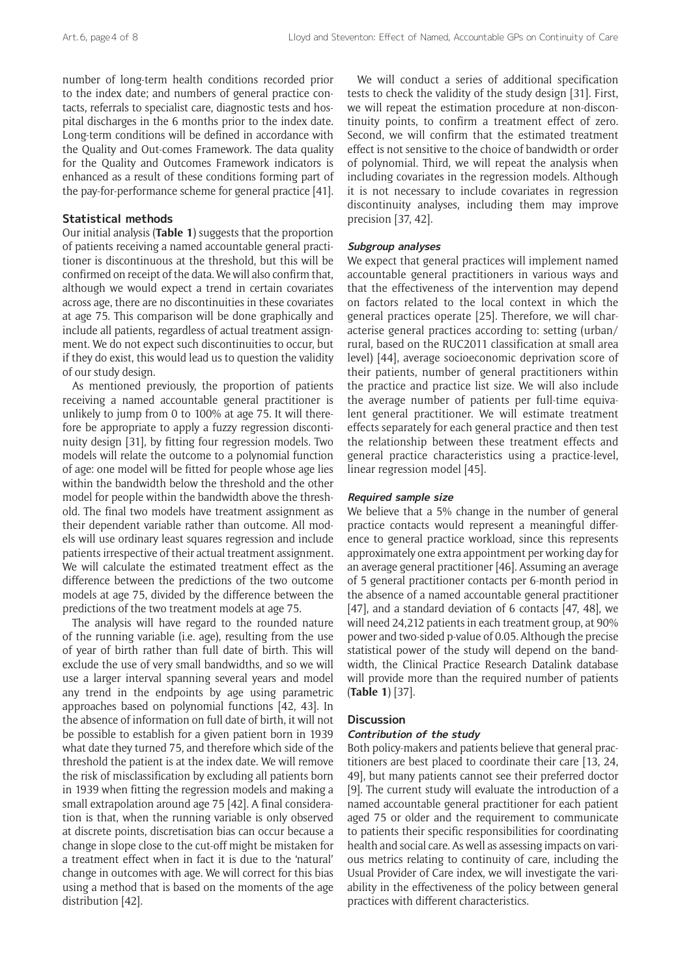number of long-term health conditions recorded prior to the index date; and numbers of general practice contacts, referrals to specialist care, diagnostic tests and hospital discharges in the 6 months prior to the index date. Long-term conditions will be defined in accordance with the Quality and Out-comes Framework. The data quality for the Quality and Outcomes Framework indicators is enhanced as a result of these conditions forming part of the pay-for-performance scheme for general practice [41].

## **Statistical methods**

Our initial analysis (**Table 1**) suggests that the proportion of patients receiving a named accountable general practitioner is discontinuous at the threshold, but this will be confirmed on receipt of the data. We will also confirm that, although we would expect a trend in certain covariates across age, there are no discontinuities in these covariates at age 75. This comparison will be done graphically and include all patients, regardless of actual treatment assignment. We do not expect such discontinuities to occur, but if they do exist, this would lead us to question the validity of our study design.

As mentioned previously, the proportion of patients receiving a named accountable general practitioner is unlikely to jump from 0 to 100% at age 75. It will therefore be appropriate to apply a fuzzy regression discontinuity design [31], by fitting four regression models. Two models will relate the outcome to a polynomial function of age: one model will be fitted for people whose age lies within the bandwidth below the threshold and the other model for people within the bandwidth above the threshold. The final two models have treatment assignment as their dependent variable rather than outcome. All models will use ordinary least squares regression and include patients irrespective of their actual treatment assignment. We will calculate the estimated treatment effect as the difference between the predictions of the two outcome models at age 75, divided by the difference between the predictions of the two treatment models at age 75.

The analysis will have regard to the rounded nature of the running variable (i.e. age), resulting from the use of year of birth rather than full date of birth. This will exclude the use of very small bandwidths, and so we will use a larger interval spanning several years and model any trend in the endpoints by age using parametric approaches based on polynomial functions [42, 43]. In the absence of information on full date of birth, it will not be possible to establish for a given patient born in 1939 what date they turned 75, and therefore which side of the threshold the patient is at the index date. We will remove the risk of misclassification by excluding all patients born in 1939 when fitting the regression models and making a small extrapolation around age 75 [42]. A final consideration is that, when the running variable is only observed at discrete points, discretisation bias can occur because a change in slope close to the cut-off might be mistaken for a treatment effect when in fact it is due to the 'natural' change in outcomes with age. We will correct for this bias using a method that is based on the moments of the age distribution [42].

We will conduct a series of additional specification tests to check the validity of the study design [31]. First, we will repeat the estimation procedure at non-discontinuity points, to confirm a treatment effect of zero. Second, we will confirm that the estimated treatment effect is not sensitive to the choice of bandwidth or order of polynomial. Third, we will repeat the analysis when including covariates in the regression models. Although it is not necessary to include covariates in regression discontinuity analyses, including them may improve precision [37, 42].

## **Subgroup analyses**

We expect that general practices will implement named accountable general practitioners in various ways and that the effectiveness of the intervention may depend on factors related to the local context in which the general practices operate [25]. Therefore, we will characterise general practices according to: setting (urban/ rural, based on the RUC2011 classification at small area level) [44], average socioeconomic deprivation score of their patients, number of general practitioners within the practice and practice list size. We will also include the average number of patients per full-time equivalent general practitioner. We will estimate treatment effects separately for each general practice and then test the relationship between these treatment effects and general practice characteristics using a practice-level, linear regression model [45].

#### **Required sample size**

We believe that a 5% change in the number of general practice contacts would represent a meaningful difference to general practice workload, since this represents approximately one extra appointment per working day for an average general practitioner [46]. Assuming an average of 5 general practitioner contacts per 6-month period in the absence of a named accountable general practitioner [47], and a standard deviation of 6 contacts [47, 48], we will need 24,212 patients in each treatment group, at 90% power and two-sided p-value of 0.05. Although the precise statistical power of the study will depend on the bandwidth, the Clinical Practice Research Datalink database will provide more than the required number of patients (**Table 1**) [37].

## **Discussion**

#### **Contribution of the study**

Both policy-makers and patients believe that general practitioners are best placed to coordinate their care [13, 24, 49], but many patients cannot see their preferred doctor [9]. The current study will evaluate the introduction of a named accountable general practitioner for each patient aged 75 or older and the requirement to communicate to patients their specific responsibilities for coordinating health and social care. As well as assessing impacts on various metrics relating to continuity of care, including the Usual Provider of Care index, we will investigate the variability in the effectiveness of the policy between general practices with different characteristics.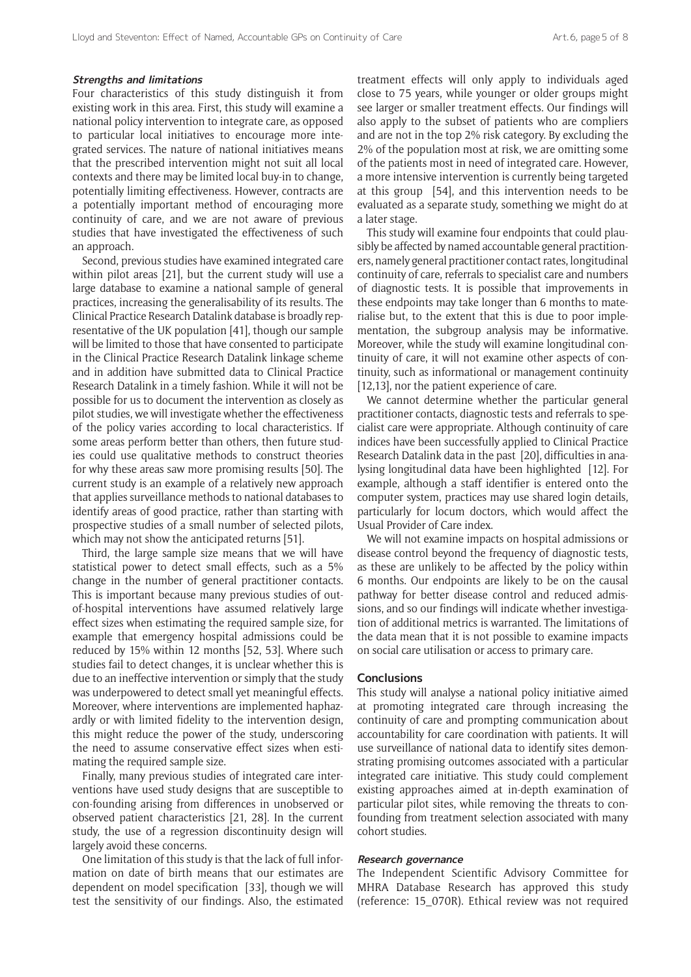#### **Strengths and limitations**

Four characteristics of this study distinguish it from existing work in this area. First, this study will examine a national policy intervention to integrate care, as opposed to particular local initiatives to encourage more integrated services. The nature of national initiatives means that the prescribed intervention might not suit all local contexts and there may be limited local buy-in to change, potentially limiting effectiveness. However, contracts are a potentially important method of encouraging more continuity of care, and we are not aware of previous studies that have investigated the effectiveness of such an approach.

Second, previous studies have examined integrated care within pilot areas [21], but the current study will use a large database to examine a national sample of general practices, increasing the generalisability of its results. The Clinical Practice Research Datalink database is broadly representative of the UK population [41], though our sample will be limited to those that have consented to participate in the Clinical Practice Research Datalink linkage scheme and in addition have submitted data to Clinical Practice Research Datalink in a timely fashion. While it will not be possible for us to document the intervention as closely as pilot studies, we will investigate whether the effectiveness of the policy varies according to local characteristics. If some areas perform better than others, then future studies could use qualitative methods to construct theories for why these areas saw more promising results [50]. The current study is an example of a relatively new approach that applies surveillance methods to national databases to identify areas of good practice, rather than starting with prospective studies of a small number of selected pilots, which may not show the anticipated returns [51].

Third, the large sample size means that we will have statistical power to detect small effects, such as a 5% change in the number of general practitioner contacts. This is important because many previous studies of outof-hospital interventions have assumed relatively large effect sizes when estimating the required sample size, for example that emergency hospital admissions could be reduced by 15% within 12 months [52, 53]. Where such studies fail to detect changes, it is unclear whether this is due to an ineffective intervention or simply that the study was underpowered to detect small yet meaningful effects. Moreover, where interventions are implemented haphazardly or with limited fidelity to the intervention design, this might reduce the power of the study, underscoring the need to assume conservative effect sizes when estimating the required sample size.

Finally, many previous studies of integrated care interventions have used study designs that are susceptible to con-founding arising from differences in unobserved or observed patient characteristics [21, 28]. In the current study, the use of a regression discontinuity design will largely avoid these concerns.

One limitation of this study is that the lack of full information on date of birth means that our estimates are dependent on model specification [33], though we will test the sensitivity of our findings. Also, the estimated treatment effects will only apply to individuals aged close to 75 years, while younger or older groups might see larger or smaller treatment effects. Our findings will also apply to the subset of patients who are compliers and are not in the top 2% risk category. By excluding the 2% of the population most at risk, we are omitting some of the patients most in need of integrated care. However, a more intensive intervention is currently being targeted at this group [54], and this intervention needs to be evaluated as a separate study, something we might do at a later stage.

This study will examine four endpoints that could plausibly be affected by named accountable general practitioners, namely general practitioner contact rates, longitudinal continuity of care, referrals to specialist care and numbers of diagnostic tests. It is possible that improvements in these endpoints may take longer than 6 months to materialise but, to the extent that this is due to poor implementation, the subgroup analysis may be informative. Moreover, while the study will examine longitudinal continuity of care, it will not examine other aspects of continuity, such as informational or management continuity [12,13], nor the patient experience of care.

We cannot determine whether the particular general practitioner contacts, diagnostic tests and referrals to specialist care were appropriate. Although continuity of care indices have been successfully applied to Clinical Practice Research Datalink data in the past [20], difficulties in analysing longitudinal data have been highlighted [12]. For example, although a staff identifier is entered onto the computer system, practices may use shared login details, particularly for locum doctors, which would affect the Usual Provider of Care index.

We will not examine impacts on hospital admissions or disease control beyond the frequency of diagnostic tests, as these are unlikely to be affected by the policy within 6 months. Our endpoints are likely to be on the causal pathway for better disease control and reduced admissions, and so our findings will indicate whether investigation of additional metrics is warranted. The limitations of the data mean that it is not possible to examine impacts on social care utilisation or access to primary care.

## **Conclusions**

This study will analyse a national policy initiative aimed at promoting integrated care through increasing the continuity of care and prompting communication about accountability for care coordination with patients. It will use surveillance of national data to identify sites demonstrating promising outcomes associated with a particular integrated care initiative. This study could complement existing approaches aimed at in-depth examination of particular pilot sites, while removing the threats to confounding from treatment selection associated with many cohort studies.

#### **Research governance**

The Independent Scientific Advisory Committee for MHRA Database Research has approved this study (reference: 15\_070R). Ethical review was not required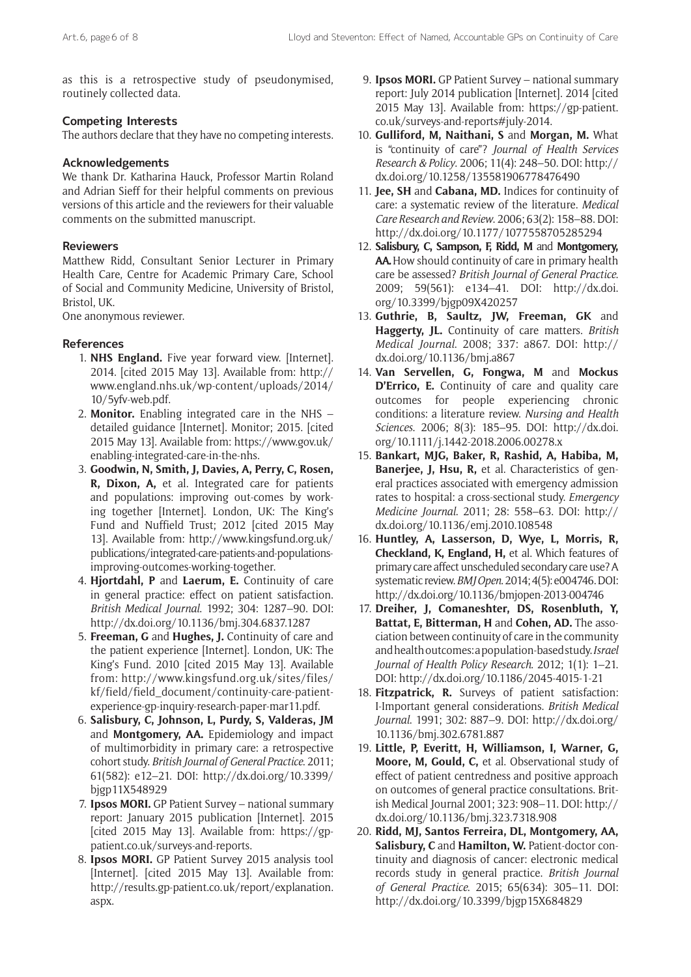as this is a retrospective study of pseudonymised, routinely collected data.

# **Competing Interests**

The authors declare that they have no competing interests.

# **Acknowledgements**

We thank Dr. Katharina Hauck, Professor Martin Roland and Adrian Sieff for their helpful comments on previous versions of this article and the reviewers for their valuable comments on the submitted manuscript.

## **Reviewers**

Matthew Ridd, Consultant Senior Lecturer in Primary Health Care, Centre for Academic Primary Care, School of Social and Community Medicine, University of Bristol, Bristol, UK.

One anonymous reviewer.

# **References**

- 1. **NHS England.** Five year forward view. [Internet]. 2014. [cited 2015 May 13]. Available from: [http://](http://www.england.nhs.uk/wp-content/uploads/2014/ 10/5yfv-web.pdf) [www.england.nhs.uk/wp-content/uploads/2014/](http://www.england.nhs.uk/wp-content/uploads/2014/ 10/5yfv-web.pdf) [10/5yfv-web.pdf.](http://www.england.nhs.uk/wp-content/uploads/2014/ 10/5yfv-web.pdf)
- 2. **Monitor.** Enabling integrated care in the NHS detailed guidance [Internet]. Monitor; 2015. [cited 2015 May 13]. Available from[: https://www.gov.uk/](https://www.gov.uk/enabling-integrated-care-in-the-nhs) [enabling-integrated-care-in-the](https://www.gov.uk/enabling-integrated-care-in-the-nhs)-nhs.
- 3. **Goodwin, N, Smith, J, Davies, A, Perry, C, Rosen, R, Dixon, A,** et al. Integrated care for patients and populations: improving out-comes by working together [Internet]. London, UK: The King's Fund and Nuffield Trust; 2012 [cited 2015 May 13]. Available from[: http://www.kingsfund.org.uk/](http://www.kingsfund.org.uk/publications/integrated-care-patients-and-populations-improving-outcomes-working-together) [publications/integrated-care-patients-and-populations](http://www.kingsfund.org.uk/publications/integrated-care-patients-and-populations-improving-outcomes-working-together)[improving-outcomes-working-together](http://www.kingsfund.org.uk/publications/integrated-care-patients-and-populations-improving-outcomes-working-together).
- 4. **Hjortdahl, P** and **Laerum, E.** Continuity of care in general practice: effect on patient satisfaction. *British Medical Journal*. 1992; 304: 1287–90. DOI: <http://dx.doi.org/10.1136/bmj.304.6837.1287>
- 5. **Freeman, G** and **Hughes, J.** Continuity of care and the patient experience [Internet]. London, UK: The King's Fund. 2010 [cited 2015 May 13]. Available from: [http://www.kingsfund.org.uk/sites/files/](http://www.kingsfund.org.uk/sites/files/kf/field/field_document/continuity-care-patient-experience) [kf/field/field\\_document/continuity-care-patient](http://www.kingsfund.org.uk/sites/files/kf/field/field_document/continuity-care-patient-experience)[experience](http://www.kingsfund.org.uk/sites/files/kf/field/field_document/continuity-care-patient-experience)-[gp-inquiry-research-paper-mar11.pdf.](http://www.kingsfund.org.uk/sites/files/kf/field/field_document/continuity-care-patient-experience-gp-inquiry-research-paper-mar11.pdf)
- 6. **Salisbury, C, Johnson, L, Purdy, S, Valderas, JM** and **Montgomery, AA.** Epidemiology and impact of multimorbidity in primary care: a retrospective cohort study. *British Journal of General Practice*. 2011; 61(582): e12–21. DOI: [http://dx.doi.org/10.3399/](http://dx.doi.org/10.3399/bjgp11X548929) [bjgp11X548929](http://dx.doi.org/10.3399/bjgp11X548929)
- 7. **Ipsos MORI.** GP Patient Survey national summary report: January 2015 publication [Internet]. 2015 [cited 2015 May 13]. Available from: [https://gp](https://gp-patient.co.uk/surveys-and-reports)[patient.co.uk/surveys-and-reports](https://gp-patient.co.uk/surveys-and-reports).
- 8. **Ipsos MORI.** GP Patient Survey 2015 analysis tool [Internet]. [cited 2015 May 13]. Available from: [http://results.gp-patient.co. uk/report/explanation.](http://results.gp-patient.co.uk/report/explanation.aspx) [aspx](http://results.gp-patient.co.uk/report/explanation.aspx).
- 9. **Ipsos MORI.** GP Patient Survey national summary report: July 2014 publication [Internet]. 2014 [cited 2015 May 13]. Available from: [https://gp-patient.](https://gp-patient.co.uk/surveys-and-reports#july-2014) [co.uk/surveys-and-reports#july-2014.](https://gp-patient.co.uk/surveys-and-reports#july-2014)
- 10. **Gulliford, M, Naithani, S** and **Morgan, M.** What is "continuity of care"? *Journal of Health Services Research & Policy*. 2006; 11(4): 248–50. DOI: [http://](http://dx.doi.org/10.1258/135581906778476490) [dx.doi.org/10.1258/135581906778476490](http://dx.doi.org/10.1258/135581906778476490)
- 11. **Jee, SH** and **Cabana, MD.** Indices for continuity of care: a systematic review of the literature. *Medical Care Research and Review*. 2006; 63(2): 158–88. DOI: <http://dx.doi.org/10.1177/1077558705285294>
- 12. **Salisbury, C, Sampson, F, Ridd, M** and **Montgomery, AA.** How should continuity of care in primary health care be assessed? *British Journal of General Practice*. 2009; 59(561): e134–41. DOI: [http://dx.doi.](http://dx.doi.org/10.3399/bjgp09X420257) [org/10.3399/bjgp09X420257](http://dx.doi.org/10.3399/bjgp09X420257)
- 13. **Guthrie, B, Saultz, JW, Freeman, GK** and **Haggerty, JL.** Continuity of care matters. *British Medical Journal*. 2008; 337: a867. DOI: [http://](http://dx.doi.org/10.1136/bmj.a867) [dx.doi.org/10.1136/bmj.a867](http://dx.doi.org/10.1136/bmj.a867)
- 14. **Van Servellen, G, Fongwa, M** and **Mockus D'Errico, E.** Continuity of care and quality care outcomes for people experiencing chronic conditions: a literature review. *Nursing and Health Sciences*. 2006; 8(3): 185–95. DOI: [http://dx.doi.](http://dx.doi.org/10.1111/j.1442-2018.2006.00278.x) [org/10.1111/j.1442-2018.2006.00278.x](http://dx.doi.org/10.1111/j.1442-2018.2006.00278.x)
- 15. **Bankart, MJG, Baker, R, Rashid, A, Habiba, M, Banerjee, J, Hsu, R,** et al. Characteristics of general practices associated with emergency admission rates to hospital: a cross-sectional study. *Emergency Medicine Journal*. 2011; 28: 558–63. DOI: [http://](http://dx.doi.org/10.1136/emj.2010.108548) [dx.doi.org/10.1136/emj.2010.108548](http://dx.doi.org/10.1136/emj.2010.108548)
- 16. **Huntley, A, Lasserson, D, Wye, L, Morris, R, Checkland, K, England, H,** et al. Which features of primary care affect unscheduled secondary care use? A systematic review. *BMJ Open*. 2014; 4(5): e004746. DOI: <http://dx.doi.org/10.1136/bmjopen-2013-004746>
- 17. **Dreiher, J, Comaneshter, DS, Rosenbluth, Y, Battat, E, Bitterman, H** and **Cohen, AD.** The association between continuity of care in the community and health outcomes: a population-based study. *Israel Journal of Health Policy Research*. 2012; 1(1): 1–21. DOI:<http://dx.doi.org/10.1186/2045-4015-1-21>
- 18. **Fitzpatrick, R.** Surveys of patient satisfaction: I-Important general considerations. *British Medical Journal*. 1991; 302: 887–9. DOI: [http://dx.doi.org/](http://dx.doi.org/10.1136/bmj.302.6781.887) [10.1136/bmj.302.6781.887](http://dx.doi.org/10.1136/bmj.302.6781.887)
- 19. **Little, P, Everitt, H, Williamson, I, Warner, G, Moore, M, Gould, C,** et al. Observational study of effect of patient centredness and positive approach on outcomes of general practice consultations. British Medical Journal 2001; 323: 908–11. DOI: [http://](http://dx.doi.org/10.1136/bmj.323.7318.908) [dx.doi.org/10.1136/bmj.323.7318.908](http://dx.doi.org/10.1136/bmj.323.7318.908)
- 20. **Ridd, MJ, Santos Ferreira, DL, Montgomery, AA, Salisbury, C** and **Hamilton, W.** Patient-doctor continuity and diagnosis of cancer: electronic medical records study in general practice. *British Journal of General Practice*. 2015; 65(634): 305–11. DOI: <http://dx.doi.org/10.3399/bjgp15X684829>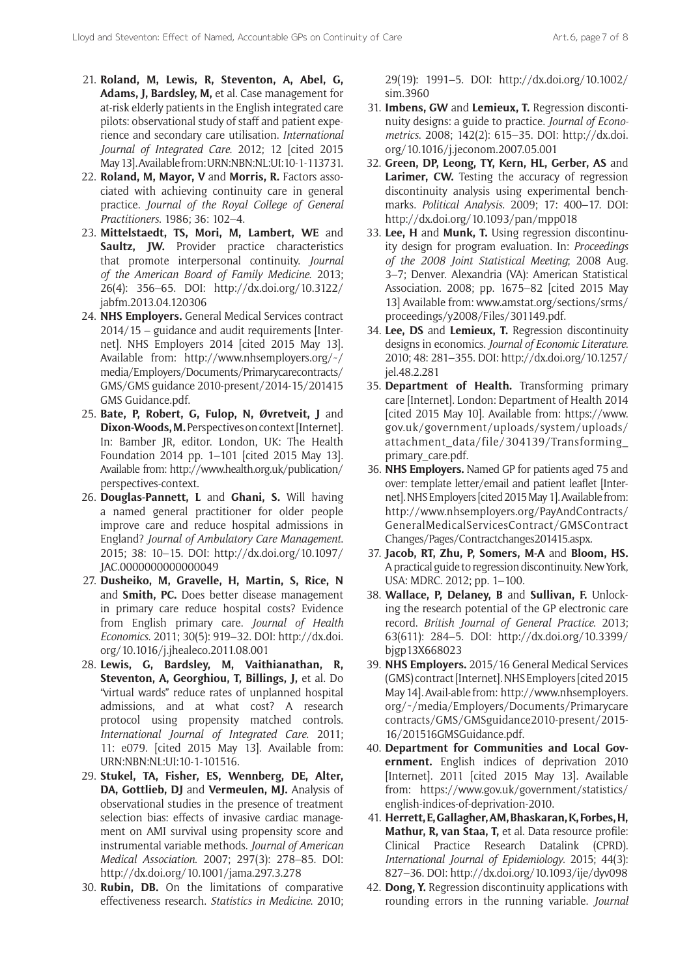- 21. **Roland, M, Lewis, R, Steventon, A, Abel, G, Adams, J, Bardsley, M,** et al. Case management for at-risk elderly patients in the English integrated care pilots: observational study of staff and patient experience and secondary care utilisation. *International Journal of Integrated Care*. 2012; 12 [cited 2015 May 13]. Available from: URN:NBN:NL:UI:10-1-113731.
- 22. **Roland, M, Mayor, V** and **Morris, R.** Factors associated with achieving continuity care in general practice. *Journal of the Royal College of General Practitioners*. 1986; 36: 102–4.
- 23. **Mittelstaedt, TS, Mori, M, Lambert, WE** and Saultz, JW. Provider practice characteristics that promote interpersonal continuity. *Journal of the American Board of Family Medicine*. 2013; 26(4): 356–65. DOI: [http://dx.doi.org/10.3122/](http://dx.doi.org/10.3122/jabfm.2013.04.120306) [jabfm.2013.04.120306](http://dx.doi.org/10.3122/jabfm.2013.04.120306)
- 24. **NHS Employers.** General Medical Services contract 2014/15 – guidance and audit requirements [Internet]. NHS Employers 2014 [cited 2015 May 13]. Available from: http://www.nhsemployers.org/~/ [media/Employers/Documents/Primarycarecontracts/](http://www.nhsemployers.org/˜/media/Employers/Documents/Primarycarecontracts/GMS/GMS guidance 2010-present/2014-15/201415 GMS Guidance.pdf.) [GMS/GMS guidance 2010-present/2014-15/201415](http://www.nhsemployers.org/˜/media/Employers/Documents/Primarycarecontracts/GMS/GMS guidance 2010-present/2014-15/201415 GMS Guidance.pdf.)  [GMS Guidance.pdf.](http://www.nhsemployers.org/˜/media/Employers/Documents/Primarycarecontracts/GMS/GMS guidance 2010-present/2014-15/201415 GMS Guidance.pdf.)
- 25. **Bate, P, Robert, G, Fulop, N, Øvretveit, J** and **Dixon-Woods, M.** Perspectives on context [Internet]. In: Bamber JR, editor. London, UK: The Health Foundation 2014 pp. 1–101 [cited 2015 May 13]. Available from: [http://www.health.org.uk/publication](http://www.health.org.uk/publication/perspectives-context)/ [perspectives-context.](http://www.health.org.uk/publication/perspectives-context)
- 26. **Douglas-Pannett, L** and **Ghani, S.** Will having a named general practitioner for older people improve care and reduce hospital admissions in England? *Journal of Ambulatory Care Management*. 2015; 38: 10–15. DOI: [http://dx.doi.org/10.1097/](http://dx.doi.org/10.1097/JAC.0000000000000049) [JAC.0000000000000049](http://dx.doi.org/10.1097/JAC.0000000000000049)
- 27. **Dusheiko, M, Gravelle, H, Martin, S, Rice, N** and **Smith, PC.** Does better disease management in primary care reduce hospital costs? Evidence from English primary care. *Journal of Health Economics*. 2011; 30(5): 919–32. DOI: [http://dx.doi.](http://dx.doi.org/10.1016/j.jhealeco.2011.08.001) [org/10.1016/j.jhealeco.2011.08.001](http://dx.doi.org/10.1016/j.jhealeco.2011.08.001)
- 28. **Lewis, G, Bardsley, M, Vaithianathan, R, Steventon, A, Georghiou, T, Billings, J,** et al. Do "virtual wards" reduce rates of unplanned hospital admissions, and at what cost? A research protocol using propensity matched controls. *International Journal of Integrated Care*. 2011; 11: e079. [cited 2015 May 13]. Available from: URN:NBN:NL:UI:10-1-101516.
- 29. **Stukel, TA, Fisher, ES, Wennberg, DE, Alter, DA, Gottlieb, DJ** and **Vermeulen, MJ.** Analysis of observational studies in the presence of treatment selection bias: effects of invasive cardiac management on AMI survival using propensity score and instrumental variable methods. *Journal of American Medical Association*. 2007; 297(3): 278–85. DOI: <http://dx.doi.org/10.1001/jama.297.3.278>
- 30. **Rubin, DB.** On the limitations of comparative effectiveness research. *Statistics in Medicine*. 2010;

29(19): 1991–5. DOI: [http://dx.doi.org/10.1002/](http://dx.doi.org/10.1002/sim.3960) [sim.3960](http://dx.doi.org/10.1002/sim.3960)

- 31. **Imbens, GW** and **Lemieux, T.** Regression discontinuity designs: a guide to practice. *Journal of Econometrics*. 2008; 142(2): 615–35. DOI: [http://dx.doi.](http://dx.doi.org/10.1016/j.jeconom.2007.05.001) [org/10.1016/j.jeconom.2007.05.001](http://dx.doi.org/10.1016/j.jeconom.2007.05.001)
- 32. **Green, DP, Leong, TY, Kern, HL, Gerber, AS** and **Larimer, CW.** Testing the accuracy of regression discontinuity analysis using experimental benchmarks. *Political Analysis*. 2009; 17: 400–17. DOI: <http://dx.doi.org/10.1093/pan/mpp018>
- 33. **Lee, H** and **Munk, T.** Using regression discontinuity design for program evaluation. In: *Proceedings of the 2008 Joint Statistical Meeting*; 2008 Aug. 3–7; Denver. Alexandria (VA): American Statistical Association. 2008; pp. 1675–82 [cited 2015 May 13] Available from: [www.amstat.org/sections/srms/](www.amstat.org/sections/srms/proceedings/y2008/Files/301149.pdf) [proceedings/y2008/Files/301149.pdf.](www.amstat.org/sections/srms/proceedings/y2008/Files/301149.pdf)
- 34. **Lee, DS** and **Lemieux, T.** Regression discontinuity designs in economics. *Journal of Economic Literature*. 2010; 48: 281–355. DOI: [http://dx.doi.org/10.1257/](http://dx.doi.org/10.1257/jel.48.2.281) [jel.48.2.281](http://dx.doi.org/10.1257/jel.48.2.281)
- 35. **Department of Health.** Transforming primary care [Internet]. London: Department of Health 2014 [cited 2015 May 10]. Available from[: https://www.](https://www.gov.uk/government/uploads/system/uploads/attachment_data/file/304139/Transforming_primary_care.pdf) [gov.uk/government/uploads/system/uploads/](https://www.gov.uk/government/uploads/system/uploads/attachment_data/file/304139/Transforming_primary_care.pdf) [attachment\\_data/file/304139/Transforming\\_](https://www.gov.uk/government/uploads/system/uploads/attachment_data/file/304139/Transforming_primary_care.pdf) [primary\\_care.pdf.](https://www.gov.uk/government/uploads/system/uploads/attachment_data/file/304139/Transforming_primary_care.pdf)
- 36. **NHS Employers.** Named GP for patients aged 75 and over: template letter/email and patient leaflet [Internet]. NHS Employers [cited 2015 May 1]. Available from: [http://www.nhsemployers.org/PayAndContracts/](http://www.nhsemployers.org/PayAndContracts/ GeneralMedicalServicesContract/GMSContract Changes/Pages/Contractchanges201415.aspx) [GeneralMedicalServicesContract/GMSContract](http://www.nhsemployers.org/PayAndContracts/ GeneralMedicalServicesContract/GMSContract Changes/Pages/Contractchanges201415.aspx) [Changes/Pages/Contractchanges201415.aspx.](http://www.nhsemployers.org/PayAndContracts/ GeneralMedicalServicesContract/GMSContract Changes/Pages/Contractchanges201415.aspx)
- 37. **Jacob, RT, Zhu, P, Somers, M-A** and **Bloom, HS.** A practical guide to regression discontinuity. New York, USA: MDRC. 2012; pp. 1–100.
- 38. **Wallace, P, Delaney, B** and **Sullivan, F.** Unlocking the research potential of the GP electronic care record. *British Journal of General Practice*. 2013; 63(611): 284–5. DOI: [http://dx.doi.org/10.3399/](http://dx.doi.org/10.3399/bjgp13X668023) [bjgp13X668023](http://dx.doi.org/10.3399/bjgp13X668023)
- 39. **NHS Employers.** 2015/16 General Medical Services (GMS) contract [Internet]. NHS Employers [cited 2015 May 14]. Avail-able from: [http://www.nhsemployers.](http://www.nhsemployers.org/˜/media/Employers/Documents/Primarycarecontracts/GMS/GMSguidance2010-present/2015-16/201516GMSGuidance.pdf) [org/˜/media/Employers/Documents/Primarycare](http://www.nhsemployers.org/˜/media/Employers/Documents/Primarycarecontracts/GMS/GMSguidance2010-present/2015-16/201516GMSGuidance.pdf) [contracts/GMS/GMSguidance2010-present/2015-](http://www.nhsemployers.org/˜/media/Employers/Documents/Primarycarecontracts/GMS/GMSguidance2010-present/2015-16/201516GMSGuidance.pdf) [16/201516GMSGuidance.pdf.](http://www.nhsemployers.org/˜/media/Employers/Documents/Primarycarecontracts/GMS/GMSguidance2010-present/2015-16/201516GMSGuidance.pdf)
- 40. **Department for Communities and Local Government.** English indices of deprivation 2010 [Internet]. 2011 [cited 2015 May 13]. Available from: [https://www.gov.uk/government/statistics/](https://www.gov.uk/government/statistics/english-indices-of-deprivation-2010) [english-indices-of-deprivation-2010.](https://www.gov.uk/government/statistics/english-indices-of-deprivation-2010)
- 41. **Herrett, E, Gallagher, AM, Bhaskaran, K, Forbes, H, Mathur, R, van Staa, T,** et al. Data resource profile: Clinical Practice Research Datalink (CPRD). *International Journal of Epidemiology*. 2015; 44(3): 827–36. DOI:<http://dx.doi.org/10.1093/ije/dyv098>
- 42. **Dong, Y.** Regression discontinuity applications with rounding errors in the running variable. *Journal*